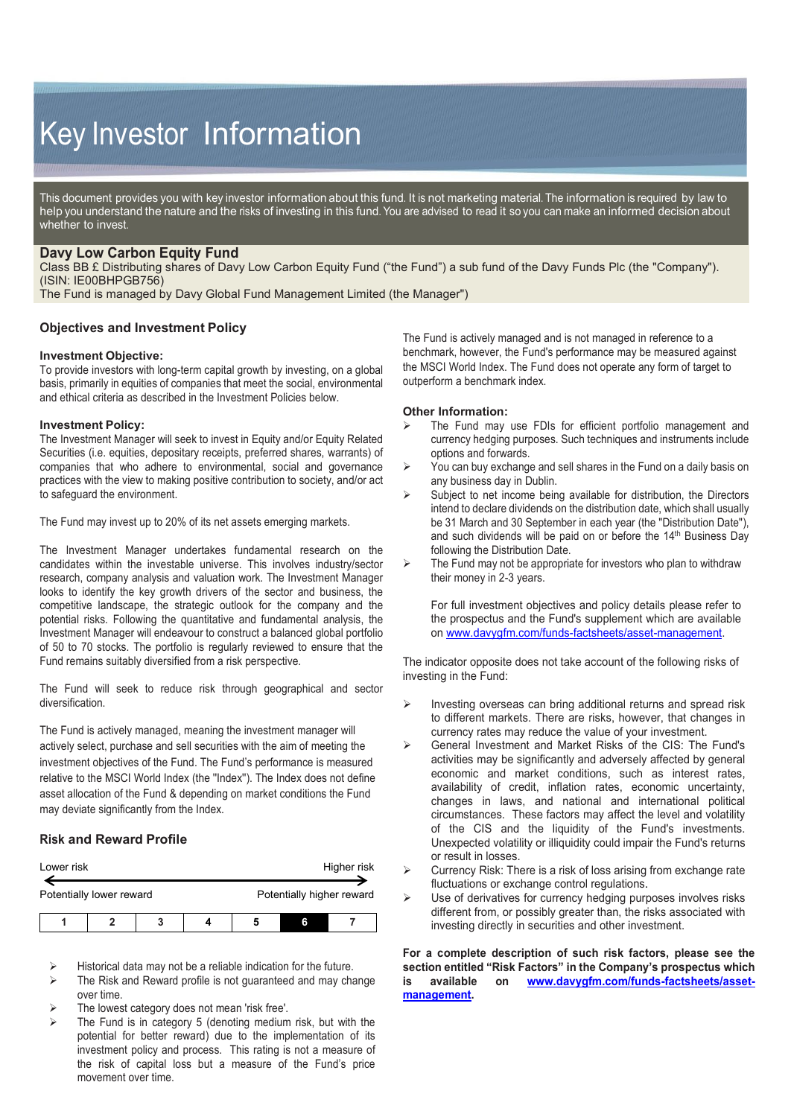# Key Investor Information

This document provides you with key investor information about this fund. It is not marketing material. The information is required by law to help you understand the nature and the risks of investing in this fund. You are advised to read it so you can make an informed decision about whether to invest.

## **Davy Low Carbon Equity Fund**

Class BB £ Distributing shares of Davy Low Carbon Equity Fund ("the Fund") a sub fund of the Davy Funds Plc (the "Company"). (ISIN: IE00BHPGB756)

The Fund is managed by Davy Global Fund Management Limited (the Manager")

#### **Objectives and Investment Policy**

#### **Investment Objective:**

To provide investors with long-term capital growth by investing, on a global basis, primarily in equities of companies that meet the social, environmental and ethical criteria as described in the Investment Policies below.

#### **Investment Policy:**

The Investment Manager will seek to invest in Equity and/or Equity Related Securities (i.e. equities, depositary receipts, preferred shares, warrants) of companies that who adhere to environmental, social and governance practices with the view to making positive contribution to society, and/or act to safeguard the environment.

The Fund may invest up to 20% of its net assets emerging markets.

The Investment Manager undertakes fundamental research on the candidates within the investable universe. This involves industry/sector research, company analysis and valuation work. The Investment Manager looks to identify the key growth drivers of the sector and business, the competitive landscape, the strategic outlook for the company and the potential risks. Following the quantitative and fundamental analysis, the Investment Manager will endeavour to construct a balanced global portfolio of 50 to 70 stocks. The portfolio is regularly reviewed to ensure that the Fund remains suitably diversified from a risk perspective.

The Fund will seek to reduce risk through geographical and sector diversification.

The Fund is actively managed, meaning the investment manager will actively select, purchase and sell securities with the aim of meeting the investment objectives of the Fund. The Fund's performance is measured relative to the MSCI World Index (the ''Index''). The Index does not define asset allocation of the Fund & depending on market conditions the Fund may deviate significantly from the Index.

#### **Risk and Reward Profile**

| Lower risk               |  |   |  |                           |   | Higher risk |
|--------------------------|--|---|--|---------------------------|---|-------------|
| Potentially lower reward |  |   |  | Potentially higher reward |   |             |
|                          |  | 3 |  |                           | ĥ |             |

Historical data may not be a reliable indication for the future.

- The Risk and Reward profile is not guaranteed and may change over time.
- The lowest category does not mean 'risk free'.
- The Fund is in category 5 (denoting medium risk, but with the potential for better reward) due to the implementation of its investment policy and process. This rating is not a measure of the risk of capital loss but a measure of the Fund's price movement over time.

The Fund is actively managed and is not managed in reference to a benchmark, however, the Fund's performance may be measured against the MSCI World Index. The Fund does not operate any form of target to outperform a benchmark index.

#### **Other Information:**

- The Fund may use FDIs for efficient portfolio management and currency hedging purposes. Such techniques and instruments include options and forwards.
- $\triangleright$  You can buy exchange and sell shares in the Fund on a daily basis on any business day in Dublin.
- $\triangleright$  Subject to net income being available for distribution, the Directors intend to declare dividends on the distribution date, which shall usually be 31 March and 30 September in each year (the "Distribution Date"), and such dividends will be paid on or before the 14<sup>th</sup> Business Day following the Distribution Date.
- The Fund may not be appropriate for investors who plan to withdraw their money in 2-3 years.

For full investment objectives and policy details please refer to the prospectus and the Fund's supplement which are available on [www.davygfm.com/funds-factsheets/asset-management.](http://www.davygfm.com/funds-factsheets/asset-management) 

The indicator opposite does not take account of the following risks of investing in the Fund:

- Investing overseas can bring additional returns and spread risk to different markets. There are risks, however, that changes in currency rates may reduce the value of your investment.
- General Investment and Market Risks of the CIS: The Fund's activities may be significantly and adversely affected by general economic and market conditions, such as interest rates, availability of credit, inflation rates, economic uncertainty, changes in laws, and national and international political circumstances. These factors may affect the level and volatility of the CIS and the liquidity of the Fund's investments. Unexpected volatility or illiquidity could impair the Fund's returns or result in losses.
- $\triangleright$  Currency Risk: There is a risk of loss arising from exchange rate fluctuations or exchange control regulations.
- Use of derivatives for currency hedging purposes involves risks different from, or possibly greater than, the risks associated with investing directly in securities and other investment.

**For a complete description of such risk factors, please see the section entitled "Risk Factors" in the Company's prospectus which is available on [www.davygfm.com/funds-factsheets/asset](http://www.davygfm.com/funds-factsheets/asset-management)[management.](http://www.davygfm.com/funds-factsheets/asset-management)**